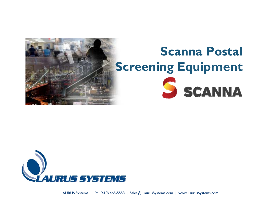

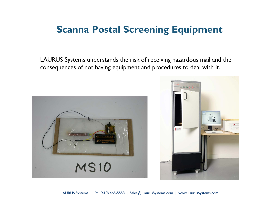#### **Scanna Postal Screening Equipment**

LAURUS Systems understands the risk of receiving hazardous mail and the consequences of not having equipment and procedures to deal with it.



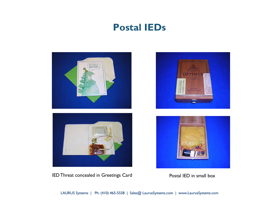#### **Postal IEDs**





IED Threat concealed in Greetings Card Postal IED in small box



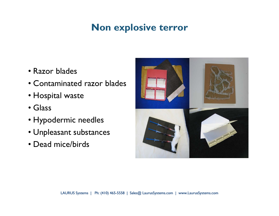# **Non explosive terror**

- Razor blades
- Contaminated razor blades
- Hospital waste
- Glass
- Hypodermic needles
- Unpleasant substances
- Dead mice/birds

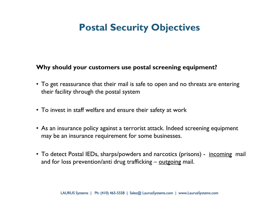# **Postal Security Objectives**

#### **Why should your customers use postal screening equipment?**

- To get reassurance that their mail is safe to open and no threats are entering their facility through the postal system
- To invest in staff welfare and ensure their safety at work
- As an insurance policy against a terrorist attack. Indeed screening equipment may be an insurance requirement for some businesses.
- To detect Postal IEDs, sharps/powders and narcotics (prisons) <u>incomin</u>g mail and for loss prevention/anti drug trafficking – outgoing mail.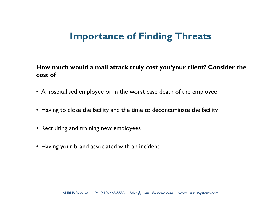#### **Importance of Finding Threats**

**How much would a mail attack truly cost you/your client? Consider the cost of**

- A hospitalised employee or in the worst case death of the employee
- Having to close the facility and the time to decontaminate the facility
- Recruiting and training new employees
- Having your brand associated with an incident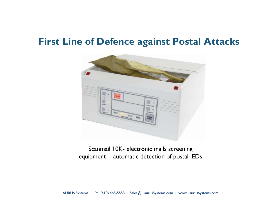#### **First Line of Defence against Postal Attacks**



Scanmail 10K- electronic mails screening equipment - automatic detection of postal IEDs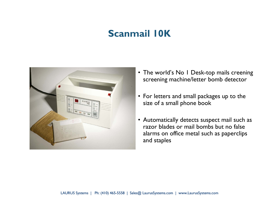### **Scanmail 10K**



- The world's No 1 Desk-top mails creening screening machine/letter bomb detector
- For letters and small packages up to the size of a small phone book
- Automatically detects suspect mail such as razor blades or mail bombs but no false alarms on office metal such as paperclips and staples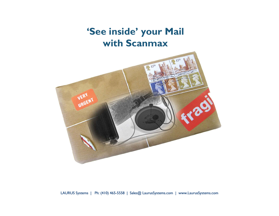**'See inside' your Mail with Scanmax**

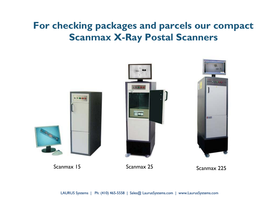# **For checking packages and parcels our compact Scanmax X-Ray Postal Scanners**

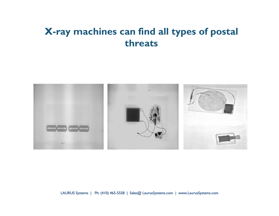### **X-ray machines can find all types of postal threats**

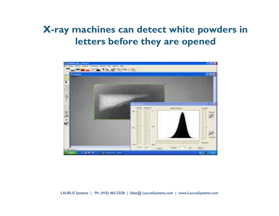### **X-ray machines can detect white powders in letters before they are opened**

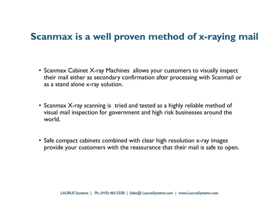#### **Scanmax is a well proven method of x-raying mail**

- Scanmax Cabinet X-ray Machines allows your customers to visually inspect their mail either as secondary confirmation after processing with Scanmail or as a stand alone x-ray solution.
- Scanmax X-ray scanning is tried and tested as a highly reliable method of visual mail inspection for government and high risk businesses around the world.
- Safe compact cabinets combined with clear high resolution x-ray images provide your customers with the reassurance that their mail is safe to open.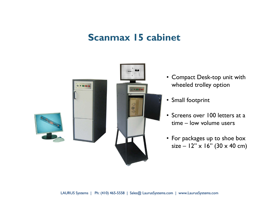#### **Scanmax 15 cabinet**



- Compact Desk-top unit with wheeled trolley option
- Small footprint
- Screens over 100 letters at a time – low volume users
- For packages up to shoe box size –  $12" \times 16"$  (30 x 40 cm)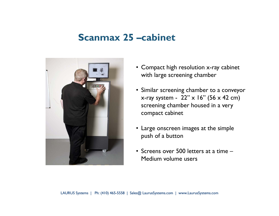#### **Scanmax 25 –cabinet**



- Compact high resolution x-ray cabinet with large screening chamber
- Similar screening chamber to a conveyor x-ray system -  $22'' \times 16''$  (56 x 42 cm) screening chamber housed in a very compact cabinet
- Large onscreen images at the simple push of a button
- Screens over 500 letters at a time –Medium volume users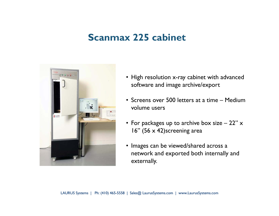#### **Scanmax 225 cabinet**



- High resolution x-ray cabinet with advanced software and image archive/export
- Screens over 500 letters at a time Medium volume users
- $\bullet\,$  For packages up to archive box size 22"  $\times\,$ 16" (56 x 42)screening area
- Images can be viewed/shared across a network and exported both internally and externally.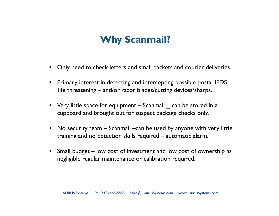# **Why Scanmail?**

- Only need to check letters and small packets and courier deliveries.
- Primary interest in detecting and intercepting possible postal IEDS life threatening – and/or razor blades/cutting devices/sharps.
- Very little space for equipment Scanmail  $\_$  can be stored in a cupboard and brought out for suspect package checks only.
- • No security team – Scanmail –can be used by anyone with very little training and no detection skills required – automatic alarm.
- Small budget low cost of investment and low cost of ownership as negligible regular maintenance or calibration required.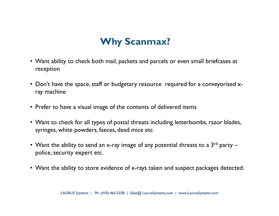# **Why Scanmax?**

- Want ability to check both mail, packets and parcels or even small briefcases at reception
- Don't have the space, staff or budgetary resource required for a conveyorised xray machine
- Prefer to have a visual image of the contents of delivered items
- Want to check for all types of postal threats including letterbombs, razor blades, syringes, white powders, faeces, dead mice etc
- Want the ability to send an x-ray image of any potential threats to a  $3^{\mathsf{rd}}$  party police, security expert etc.
- Want the ability to store evidence of x-rays taken and suspect packages detected.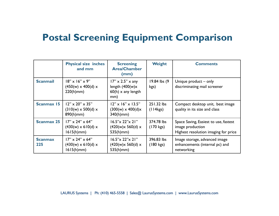#### **Postal Screening Equipment Comparison**

|                       | <b>Physical size inches</b><br>and mm                                              | <b>Screening</b><br><b>Area/Chamber</b><br>(mm)                                    | <b>Weight</b>                     | <b>Comments</b>                                                                                   |
|-----------------------|------------------------------------------------------------------------------------|------------------------------------------------------------------------------------|-----------------------------------|---------------------------------------------------------------------------------------------------|
| <b>Scanmail</b>       | $18'' \times 16'' \times 9''$<br>$(450(w) \times 400(d) \times$<br>$220(h)$ mm $)$ | $17" \times 2.5" \times$ any<br>length $(400(w)x$<br>$60(h)$ x any length<br>mm)   | 19.84 lbs (9)<br>kgs)             | Unique product - only<br>discriminating mail screener                                             |
| <b>Scanmax 15</b>     | $12" \times 20" \times 35"$<br>$(310(w) \times 500(d) \times$<br>$890(h)$ mm $)$   | $12" \times 16" \times 13.5"$<br>$(300(w) \times 400(d) \times$<br>$340(h)$ mm $)$ | 251.32 lbs<br>(114kgs)            | Compact desktop unit, best image<br>quality in its size and class                                 |
| <b>Scanmax 25</b>     | $17'' \times 24'' \times 64''$<br>$(430(w) \times 610(d) \times$<br>1615(h)mm)     | 16.5"x 22"x 21"<br>(420(w)x 560(d) x<br>$535(h)$ mm)                               | 374.78 lbs<br>$(170 \text{ kgs})$ | Space Saving, Easiest to use, fastest<br>image production<br>Highest resolution imaging for price |
| <b>Scanmax</b><br>225 | $17'' \times 24'' \times 64''$<br>$(430(w) \times 610(d) \times$<br>1615(h)mm)     | 16.5"x 22"x 21"<br>(420(w)x 560(d) x<br>$535(h)$ mm)                               | 396.83 lbs<br>$(180 \text{ kgs})$ | Image storage, advanced image<br>enhancements (internal pc) and<br>networking                     |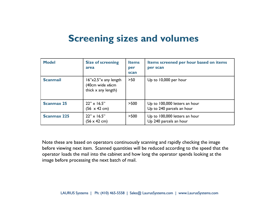#### **Screening sizes and volumes**

| <b>Model</b>       | <b>Size of screening</b><br>area                                                     | <b>Items</b><br>per<br>scan | Items screened per hour based on items<br>per scan         |
|--------------------|--------------------------------------------------------------------------------------|-----------------------------|------------------------------------------------------------|
| <b>Scanmail</b>    | $16$ " $\times$ 2.5" $\times$ any length<br>(40cm wide x6cm<br>thick $x$ any length) | $>50$                       | Up to 10,000 per hour                                      |
| <b>Scanmax 25</b>  | $22" \times 16.5"$<br>$(56 \times 42 \text{ cm})$                                    | >500                        | Up to 100,000 letters an hour<br>Up to 240 parcels an hour |
| <b>Scanmax 225</b> | $22" \times 16.5"$<br>(56 x 42 cm)                                                   | >500                        | Up to 100,000 letters an hour<br>Up 240 parcels an hour    |

Note these are based on operators continuously scanning and rapidly checking the image before viewing next item. Scanned quantities will be reduced according to the speed that the operator loads the mail into the cabinet and how long the operator spends looking at the image before processing the next batch of mail.